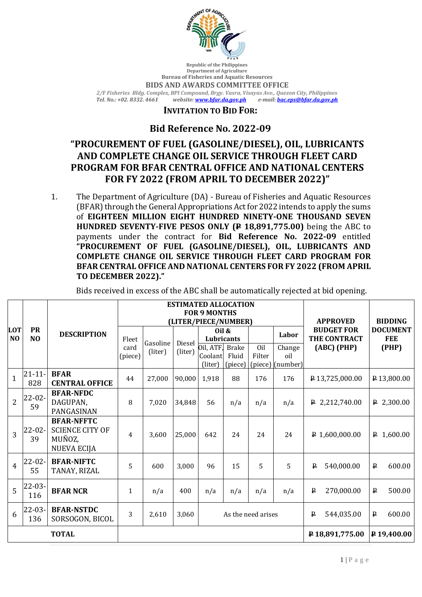

**Republic of the Philippines Department of Agriculture Bureau of Fisheries and Aquatic Resources BIDS AND AWARDS COMMITTEE OFFICE** *2/F Fisheries Bldg. Complex, BPI Compound, Brgy. Vasra, Visayas Ave., Quezon City, Philippines* 

*Tel. No.: +02. 8332. 4661 website[: www.bfar.da.gov.ph](file:///E:/BFAR%20PUBLIC%20BIDDING/FY%202022/2022-03%20VOC/www.bfar.da.gov.ph) e-mail: [bac.eps@bfar.da.gov.ph](file:///E:/BFAR%20PUBLIC%20BIDDING/FY%202022/2022-03%20VOC/bac.eps@bfar.da.gov.ph)*

## **INVITATION TO BID FOR:**

## **Bid Reference No. 2022-09**

## **"PROCUREMENT OF FUEL (GASOLINE/DIESEL), OIL, LUBRICANTS AND COMPLETE CHANGE OIL SERVICE THROUGH FLEET CARD PROGRAM FOR BFAR CENTRAL OFFICE AND NATIONAL CENTERS FOR FY 2022 (FROM APRIL TO DECEMBER 2022)"**

1. The Department of Agriculture (DA) - Bureau of Fisheries and Aquatic Resources (BFAR) through the General Appropriations Act for 2022 intends to apply the sums of **EIGHTEEN MILLION EIGHT HUNDRED NINETY-ONE THOUSAND SEVEN HUNDRED SEVENTY-FIVE PESOS ONLY (P 18,891,775.00)** being the ABC to payments under the contract for **Bid Reference No. 2022-09** entitled **"PROCUREMENT OF FUEL (GASOLINE/DIESEL), OIL, LUBRICANTS AND COMPLETE CHANGE OIL SERVICE THROUGH FLEET CARD PROGRAM FOR BFAR CENTRAL OFFICE AND NATIONAL CENTERS FOR FY 2022 (FROM APRIL TO DECEMBER 2022)."**

|                   | <b>PR</b><br>N <sub>O</sub> | <b>DESCRIPTION</b>     | <b>ESTIMATED ALLOCATION</b>   |                     |                   |                    |         |         |                |                                      |                                   |
|-------------------|-----------------------------|------------------------|-------------------------------|---------------------|-------------------|--------------------|---------|---------|----------------|--------------------------------------|-----------------------------------|
|                   |                             |                        | <b>FOR 9 MONTHS</b>           |                     |                   |                    |         |         |                | <b>APPROVED</b><br><b>BUDGET FOR</b> | <b>BIDDING</b><br><b>DOCUMENT</b> |
| <b>LOT</b><br>NO. |                             |                        | (LITER/PIECE/NUMBER)<br>Oil & |                     |                   |                    |         |         |                |                                      |                                   |
|                   |                             |                        | Fleet<br>card<br>(piece)      | Gasoline<br>(liter) | Diesel<br>(liter) | Lubricants         |         |         | Labor          | THE CONTRACT                         | <b>FEE</b>                        |
|                   |                             |                        |                               |                     |                   | Oil, ATF, Brake    |         | Oil     | Change         | (ABC) (PHP)                          | (PHP)                             |
|                   |                             |                        |                               |                     |                   | Coolant            | Fluid   | Filter  | oil            |                                      |                                   |
|                   |                             |                        |                               |                     |                   | (liter)            | (piece) | (piece) | (number)       |                                      |                                   |
| $\mathbf{1}$      | $21 - 11 -$                 | <b>BFAR</b>            | 44                            | 27,000              | 90,000            | 1,918              | 88      | 176     | 176            | P13,725,000.00                       | $P$ 13,800.00                     |
|                   | 828                         | <b>CENTRAL OFFICE</b>  |                               |                     |                   |                    |         |         |                |                                      |                                   |
| $\overline{2}$    | 22-02-<br>59                | <b>BFAR-NFDC</b>       | 8                             | 7,020               | 34,848            | 56                 | n/a     | n/a     | n/a            | $\sqrt{P}$ 2,212,740.00              | $P$ 2,300.00                      |
|                   |                             | DAGUPAN,<br>PANGASINAN |                               |                     |                   |                    |         |         |                |                                      |                                   |
|                   |                             | <b>BFAR-NFFTC</b>      |                               |                     |                   |                    |         |         |                |                                      |                                   |
| $\overline{3}$    | 22-02-<br>39                | <b>SCIENCE CITY OF</b> |                               | 3,600               | 25,000            | 642                | 24      | 24      | 24             | $P$ 1,600,000.00                     | $\uparrow$ 1,600.00               |
|                   |                             | MUÑOZ,                 | $\overline{4}$                |                     |                   |                    |         |         |                |                                      |                                   |
|                   |                             | <b>NUEVA ECIJA</b>     |                               |                     |                   |                    |         |         |                |                                      |                                   |
|                   | $22 - 02 -$                 | <b>BFAR-NIFTC</b>      |                               |                     |                   |                    |         |         |                |                                      |                                   |
| $\overline{4}$    | 55                          | TANAY, RIZAL           | 5                             | 600                 | 3,000             | 96                 | 15      | 5       | 5              | $\, {\bf p}$<br>540,000.00           | $\, {\bf p}$<br>600.00            |
|                   | $22 - 03 -$                 |                        |                               |                     |                   |                    |         |         |                |                                      |                                   |
| $\overline{5}$    | 116                         | <b>BFAR NCR</b>        | $\mathbf{1}$                  | n/a                 | 400               | n/a                | n/a     | n/a     | n/a            | 270,000.00<br>₽                      | ₽<br>500.00                       |
| 6                 | $22 - 03 -$                 | <b>BFAR-NSTDC</b>      |                               |                     |                   |                    |         |         |                |                                      |                                   |
|                   | 136                         | SORSOGON, BICOL        | 3                             | 2,610               | 3,060             | As the need arises |         |         |                | $\mathbf{P}$<br>544,035.00           | ₽<br>600.00                       |
|                   |                             | <b>TOTAL</b>           |                               |                     |                   |                    |         |         | P18,891,775.00 | P <sub>19,400.00</sub>               |                                   |

Bids received in excess of the ABC shall be automatically rejected at bid opening.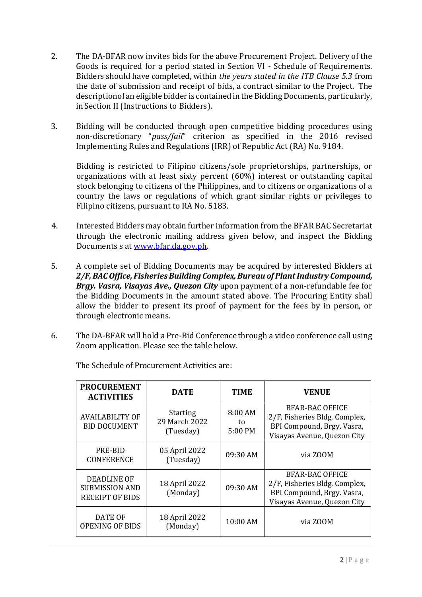- 2. The DA-BFAR now invites bids for the above Procurement Project. Delivery of the Goods is required for a period stated in Section VI - Schedule of Requirements. Bidders should have completed, within *the years stated in the ITB Clause 5.3* from the date of submission and receipt of bids, a contract similar to the Project. The description of an eligible bidder is contained in the Bidding Documents, particularly, in Section II (Instructions to Bidders).
- 3. Bidding will be conducted through open competitive bidding procedures using non-discretionary "*pass/fail*" criterion as specified in the 2016 revised Implementing Rules and Regulations (IRR) of Republic Act (RA) No. 9184.

Bidding is restricted to Filipino citizens/sole proprietorships, partnerships, or organizations with at least sixty percent (60%) interest or outstanding capital stock belonging to citizens of the Philippines, and to citizens or organizations of a country the laws or regulations of which grant similar rights or privileges to Filipino citizens, pursuant to RA No. 5183.

- 4. Interested Bidders may obtain further information from the BFAR BAC Secretariat through the electronic mailing address given below, and inspect the Bidding Documents s at [www.bfar.da.gov.ph.](file:///E:/BFAR%20PUBLIC%20BIDDING/FY%202022/2022-03%20VOC/www.bfar.da.gov.ph)
- 5. A complete set of Bidding Documents may be acquired by interested Bidders at *2/F, BAC Office, Fisheries Building Complex, Bureau of Plant Industry Compound, Brgy. Vasra, Visayas Ave., Quezon City* upon payment of a non-refundable fee for the Bidding Documents in the amount stated above. The Procuring Entity shall allow the bidder to present its proof of payment for the fees by in person, or through electronic means.
- 6. The DA-BFAR will hold a Pre-Bid Conference through a video conference call using Zoom application. Please see the table below.

| <b>PROCUREMENT</b><br><b>ACTIVITIES</b>                               | <b>DATE</b>                                   | <b>TIME</b>              | <b>VENUE</b>                                                                                                         |  |  |
|-----------------------------------------------------------------------|-----------------------------------------------|--------------------------|----------------------------------------------------------------------------------------------------------------------|--|--|
| <b>AVAILABILITY OF</b><br><b>BID DOCUMENT</b>                         | <b>Starting</b><br>29 March 2022<br>(Tuesday) | 8:00 AM<br>to<br>5:00 PM | <b>BFAR-BAC OFFICE</b><br>2/F, Fisheries Bldg. Complex,<br>BPI Compound, Brgy. Vasra,<br>Visayas Avenue, Quezon City |  |  |
| PRE-BID<br><b>CONFERENCE</b>                                          | 05 April 2022<br>(Tuesday)                    | 09:30 AM                 | via ZOOM                                                                                                             |  |  |
| <b>DEADLINE OF</b><br><b>SUBMISSION AND</b><br><b>RECEIPT OF BIDS</b> | 18 April 2022<br>(Monday)                     | 09:30 AM                 | BFAR-BAC OFFICE<br>2/F, Fisheries Bldg. Complex,<br>BPI Compound, Brgy. Vasra,<br>Visayas Avenue, Quezon City        |  |  |
| <b>DATE OF</b><br><b>OPENING OF BIDS</b>                              | 18 April 2022<br>(Monday)                     | 10:00 AM                 | via ZOOM                                                                                                             |  |  |

The Schedule of Procurement Activities are: